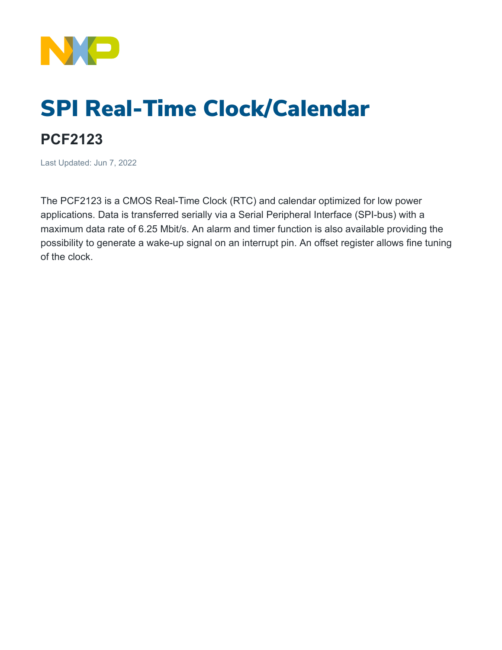

## SPI Real-Time Clock/Calendar

## **PCF2123**

Last Updated: Jun 7, 2022

The PCF2123 is a CMOS Real-Time Clock (RTC) and calendar optimized for low power applications. Data is transferred serially via a Serial Peripheral Interface (SPI-bus) with a maximum data rate of 6.25 Mbit/s. An alarm and timer function is also available providing the possibility to generate a wake-up signal on an interrupt pin. An offset register allows fine tuning of the clock.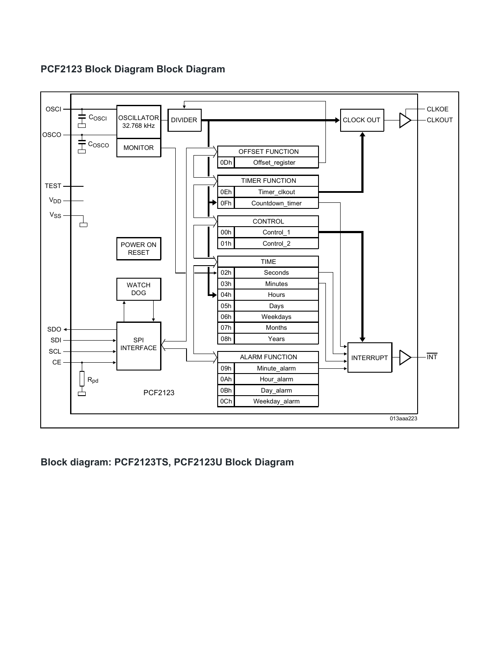## **PCF2123 Block Diagram Block Diagram**



**Block diagram: PCF2123TS, PCF2123U Block Diagram**